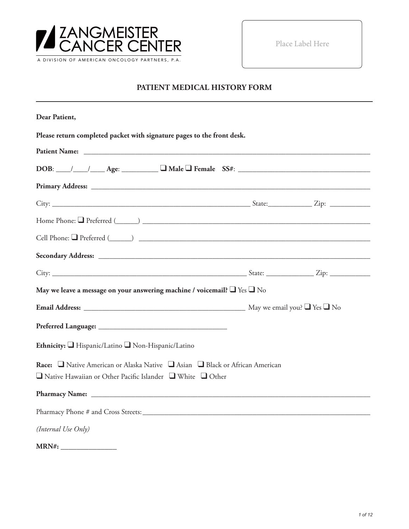

Place Label Here

## **PATIENT MEDICAL HISTORY FORM**

| Dear Patient,                                                                                                                                              |  |
|------------------------------------------------------------------------------------------------------------------------------------------------------------|--|
| Please return completed packet with signature pages to the front desk.                                                                                     |  |
|                                                                                                                                                            |  |
| $DOB:$ $\_\_\_\_\_\_\_\_\_\_\_\_\_\_\_$ Age: $\_\_\_\_\_\_\_\_\_\_\_\_\_\_\_\_\_$ Female $SS#:$ $\_\_\_\_\_\_\_\_\_\_\_\_\_\_\_\_\_\_\_\_\_\_$             |  |
|                                                                                                                                                            |  |
|                                                                                                                                                            |  |
|                                                                                                                                                            |  |
|                                                                                                                                                            |  |
|                                                                                                                                                            |  |
|                                                                                                                                                            |  |
| May we leave a message on your answering machine / voicemail? $\Box$ Yes $\Box$ No                                                                         |  |
|                                                                                                                                                            |  |
|                                                                                                                                                            |  |
| Ethnicity: Hispanic/Latino Non-Hispanic/Latino                                                                                                             |  |
| Race: □ Native American or Alaska Native □ Asian □ Black or African American<br>$\Box$ Native Hawaiian or Other Pacific Islander $\Box$ White $\Box$ Other |  |
|                                                                                                                                                            |  |
|                                                                                                                                                            |  |
| (Internal Use Only)                                                                                                                                        |  |
| MRN#:                                                                                                                                                      |  |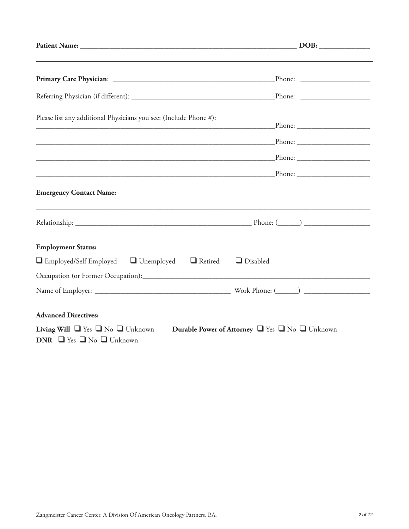| Please list any additional Physicians you see: (Include Phone #):                                                                                 |  |
|---------------------------------------------------------------------------------------------------------------------------------------------------|--|
|                                                                                                                                                   |  |
|                                                                                                                                                   |  |
|                                                                                                                                                   |  |
| <b>Emergency Contact Name:</b>                                                                                                                    |  |
|                                                                                                                                                   |  |
| <b>Employment Status:</b>                                                                                                                         |  |
| $\Box$ Employed/Self Employed $\Box$ Unemployed $\Box$ Retired<br>$\Box$ Disabled                                                                 |  |
|                                                                                                                                                   |  |
|                                                                                                                                                   |  |
| <b>Advanced Directives:</b>                                                                                                                       |  |
| <b>Living Will</b> $\Box$ Yes $\Box$ No $\Box$ Unknown<br>Durable Power of Attorney U Yes U No Unknown<br>DNR $\Box$ Yes $\Box$ No $\Box$ Unknown |  |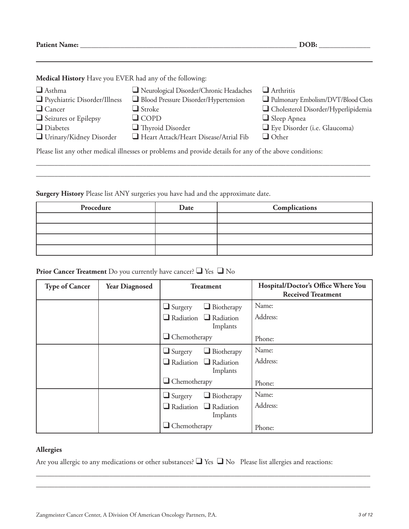**Patient Name: \_\_\_\_\_\_\_\_\_\_\_\_\_\_\_\_\_\_\_\_\_\_\_\_\_\_\_\_\_\_\_\_\_\_\_\_\_\_\_\_\_\_\_\_\_\_\_\_\_\_\_\_\_\_\_\_\_\_\_ DOB: \_\_\_\_\_\_\_\_\_\_\_\_\_\_**

**Medical History** Have you EVER had any of the following:

| $\Box$ Asthma<br>□ Psychiatric Disorder/Illness                                                          | Neurological Disorder/Chronic Headaches<br>Blood Pressure Disorder/Hypertension | $\Box$ Arthritis<br>Pulmonary Embolism/DVT/Blood Clots    |  |
|----------------------------------------------------------------------------------------------------------|---------------------------------------------------------------------------------|-----------------------------------------------------------|--|
| $\Box$ Cancer<br>Seizures or Epilepsy                                                                    | $\Box$ Stroke<br>$\Box$ COPD                                                    | Cholesterol Disorder/Hyperlipidemia<br>$\Box$ Sleep Apnea |  |
| $\Box$ Diabetes                                                                                          | $\Box$ Thyroid Disorder                                                         | Eye Disorder (i.e. Glaucoma)                              |  |
| Urinary/Kidney Disorder                                                                                  | Heart Attack/Heart Disease/Atrial Fib                                           | $\Box$ Other                                              |  |
| Please list any other medical illnesses or problems and provide details for any of the above conditions: |                                                                                 |                                                           |  |

\_\_\_\_\_\_\_\_\_\_\_\_\_\_\_\_\_\_\_\_\_\_\_\_\_\_\_\_\_\_\_\_\_\_\_\_\_\_\_\_\_\_\_\_\_\_\_\_\_\_\_\_\_\_\_\_\_\_\_\_\_\_\_\_\_\_\_\_\_\_\_\_\_\_\_\_\_\_\_\_\_\_\_\_\_\_\_\_\_\_\_ \_\_\_\_\_\_\_\_\_\_\_\_\_\_\_\_\_\_\_\_\_\_\_\_\_\_\_\_\_\_\_\_\_\_\_\_\_\_\_\_\_\_\_\_\_\_\_\_\_\_\_\_\_\_\_\_\_\_\_\_\_\_\_\_\_\_\_\_\_\_\_\_\_\_\_\_\_\_\_\_\_\_\_\_\_\_\_\_\_\_\_

**Surgery History** Please list ANY surgeries you have had and the approximate date.

| Procedure | Date | Complications |
|-----------|------|---------------|
|           |      |               |
|           |      |               |
|           |      |               |
|           |      |               |

## **Prior Cancer Treatment** Do you currently have cancer? ❑ Yes ❑ No

| <b>Type of Cancer</b> | <b>Year Diagnosed</b> | <b>Treatment</b>                              | Hospital/Doctor's Office Where You<br><b>Received Treatment</b> |
|-----------------------|-----------------------|-----------------------------------------------|-----------------------------------------------------------------|
|                       |                       | $\Box$ Biotherapy<br>$\Box$ Surgery           | Name:                                                           |
|                       |                       | $\Box$ Radiation $\Box$ Radiation<br>Implants | Address:                                                        |
|                       |                       | $\Box$ Chemotherapy                           | Phone:                                                          |
|                       |                       | $\Box$ Biotherapy<br>$\Box$ Surgery           | Name:                                                           |
|                       |                       | $\Box$ Radiation $\Box$ Radiation<br>Implants | Address:                                                        |
|                       |                       | $\Box$ Chemotherapy                           | Phone:                                                          |
|                       |                       | $\Box$ Biotherapy<br>$\Box$ Surgery           | Name:                                                           |
|                       |                       | $\Box$ Radiation $\Box$ Radiation<br>Implants | Address:                                                        |
|                       |                       | $\Box$ Chemotherapy                           | Phone:                                                          |

#### **Allergies**

Are you allergic to any medications or other substances? ❑ Yes ❑ No Please list allergies and reactions:

\_\_\_\_\_\_\_\_\_\_\_\_\_\_\_\_\_\_\_\_\_\_\_\_\_\_\_\_\_\_\_\_\_\_\_\_\_\_\_\_\_\_\_\_\_\_\_\_\_\_\_\_\_\_\_\_\_\_\_\_\_\_\_\_\_\_\_\_\_\_\_\_\_\_\_\_\_\_\_\_\_\_\_\_\_\_\_\_\_\_\_ \_\_\_\_\_\_\_\_\_\_\_\_\_\_\_\_\_\_\_\_\_\_\_\_\_\_\_\_\_\_\_\_\_\_\_\_\_\_\_\_\_\_\_\_\_\_\_\_\_\_\_\_\_\_\_\_\_\_\_\_\_\_\_\_\_\_\_\_\_\_\_\_\_\_\_\_\_\_\_\_\_\_\_\_\_\_\_\_\_\_\_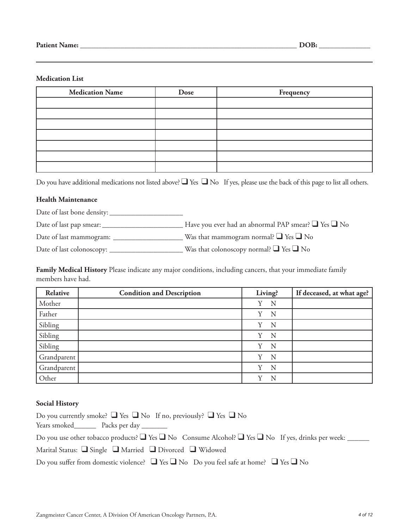#### **Medication List**

| <b>Medication Name</b> | Dose | Frequency |
|------------------------|------|-----------|
|                        |      |           |
|                        |      |           |
|                        |      |           |
|                        |      |           |
|                        |      |           |
|                        |      |           |
|                        |      |           |

Do you have additional medications not listed above? ■ Yes ■ No If yes, please use the back of this page to list all others.

#### **Health Maintenance**

Date of last bone density: \_\_\_\_\_\_\_\_\_\_\_\_\_\_\_\_\_\_\_\_

Date of last pap smear: \_\_\_\_\_\_\_\_\_\_\_\_\_\_\_\_\_\_\_\_\_\_ Have you ever had an abnormal PAP smear? ❑ Yes ❑ No

Date of last mammogram: \_\_\_\_\_\_\_\_\_\_\_\_\_\_\_\_\_\_\_ Was that mammogram normal? ❑ Yes ❑ No

Date of last colonoscopy: \_\_\_\_\_\_\_\_\_\_\_\_\_\_\_\_\_\_\_\_ Was that colonoscopy normal? ❑ Yes ❑ No

**Family Medical History** Please indicate any major conditions, including cancers, that your immediate family members have had.

| Relative    | <b>Condition and Description</b> | Living?       | If deceased, at what age? |
|-------------|----------------------------------|---------------|---------------------------|
| Mother      |                                  | Y<br>N        |                           |
| Father      |                                  | Y<br>N        |                           |
| Sibling     |                                  | Y<br>N        |                           |
| Sibling     |                                  | Y<br>N        |                           |
| Sibling     |                                  | Y<br>N        |                           |
| Grandparent |                                  | N<br>Y        |                           |
| Grandparent |                                  | N<br>V        |                           |
| Other       |                                  | $\rm _V$<br>N |                           |

#### **Social History**

| Do you currently smoke? $\Box$ Yes $\Box$ No If no, previously? $\Box$ Yes $\Box$ No                                   |
|------------------------------------------------------------------------------------------------------------------------|
| Years smoked__________ Packs per day _________                                                                         |
| Do you use other tobacco products? $\Box$ Yes $\Box$ No Consume Alcohol? $\Box$ Yes $\Box$ No If yes, drinks per week: |
| Marital Status: $\Box$ Single $\Box$ Married $\Box$ Divorced $\Box$ Widowed                                            |
| Do you suffer from domestic violence? $\Box$ Yes $\Box$ No Do you feel safe at home? $\Box$ Yes $\Box$ No              |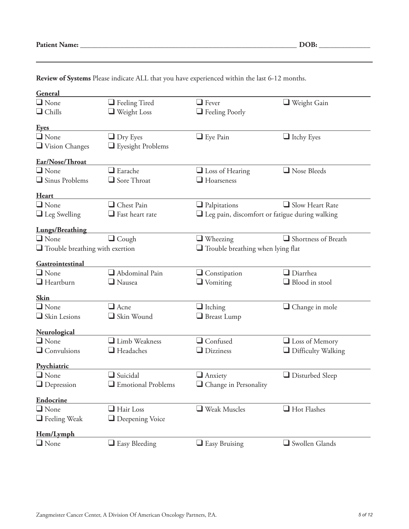| <b>Patient Name:</b> |  |
|----------------------|--|
|----------------------|--|

| General<br>$\Box$ None                                                             |                                            | $\Box$ Fever                                          |                           |
|------------------------------------------------------------------------------------|--------------------------------------------|-------------------------------------------------------|---------------------------|
|                                                                                    | $\Box$ Feeling Tired                       |                                                       | $\Box$ Weight Gain        |
| $\Box$ Chills                                                                      | $\Box$ Weight Loss                         | Feeling Poorly                                        |                           |
| <b>Eyes</b>                                                                        |                                            |                                                       |                           |
| $\Box$ None                                                                        | $\Box$ Dry Eyes                            | $\Box$ Eye Pain                                       | $\Box$ Itchy Eyes         |
| $\Box$ Vision Changes                                                              | Eyesight Problems                          |                                                       |                           |
| Ear/Nose/Throat                                                                    |                                            |                                                       |                           |
| $\Box$ None                                                                        | $\Box$ Earache                             | $\Box$ Loss of Hearing                                | $\Box$ Nose Bleeds        |
| Sinus Problems                                                                     | Sore Throat                                | $\Box$ Hoarseness                                     |                           |
|                                                                                    |                                            |                                                       |                           |
| <b>Heart</b>                                                                       |                                            |                                                       |                           |
| $\Box$ None                                                                        | Chest Pain                                 | $\Box$ Palpitations                                   | $\Box$ Slow Heart Rate    |
| $\Box$ Leg Swelling                                                                | $\Box$ Fast heart rate                     | $\Box$ Leg pain, discomfort or fatigue during walking |                           |
| <b>Lungs/Breathing</b>                                                             |                                            |                                                       |                           |
| $\Box$ None                                                                        | $\Box$ Cough                               | $\Box$ Wheezing                                       | Shortness of Breath       |
| $\Box$ Trouble breathing with exertion<br>$\Box$ Trouble breathing when lying flat |                                            |                                                       |                           |
|                                                                                    |                                            |                                                       |                           |
| Gastrointestinal                                                                   |                                            |                                                       |                           |
| $\Box$ None                                                                        | Abdominal Pain                             | $\Box$ Constipation                                   | $\Box$ Diarrhea           |
| $\Box$ Heartburn                                                                   | $\Box$ Nausea                              | $\Box$ Vomiting                                       | $\Box$ Blood in stool     |
| Skin                                                                               |                                            |                                                       |                           |
| $\Box$ None                                                                        | $\Box$ Acne                                | $\Box$ Itching                                        | $\Box$ Change in mole     |
| Skin Lesions                                                                       | Skin Wound                                 | $\Box$ Breast Lump                                    |                           |
|                                                                                    |                                            |                                                       |                           |
| Neurological<br>$\Box$ None                                                        | Limb Weakness                              | $\Box$ Confused                                       |                           |
|                                                                                    |                                            |                                                       | $\Box$ Loss of Memory     |
| $\Box$ Convulsions                                                                 | $\Box$ Headaches                           | $\Box$ Dizziness                                      | $\Box$ Difficulty Walking |
| Psychiatric                                                                        |                                            |                                                       |                           |
| $\Box$ None                                                                        | $\Box$ Suicidal                            | $\Box$ Anxiety                                        | $\Box$ Disturbed Sleep    |
| $\Box$ Depression                                                                  | $\hfill\blacksquare$<br>Emotional Problems | $\hfill\Box$<br>Change in Personality                 |                           |
|                                                                                    |                                            |                                                       |                           |
| <b>Endocrine</b><br>$\Box$ None                                                    | $\Box$ Hair Loss                           | $\Box$ Weak Muscles                                   | $\Box$ Hot Flashes        |
| $\Box$ Feeling Weak                                                                | $\Box$ Deepening Voice                     |                                                       |                           |
|                                                                                    |                                            |                                                       |                           |
| Hem/Lymph                                                                          |                                            |                                                       |                           |
| $\Box$ None                                                                        | $\Box$ Easy Bleeding                       | $\Box$ Easy Bruising                                  | Swollen Glands            |

**Review of Systems** Please indicate ALL that you have experienced within the last 6-12 months.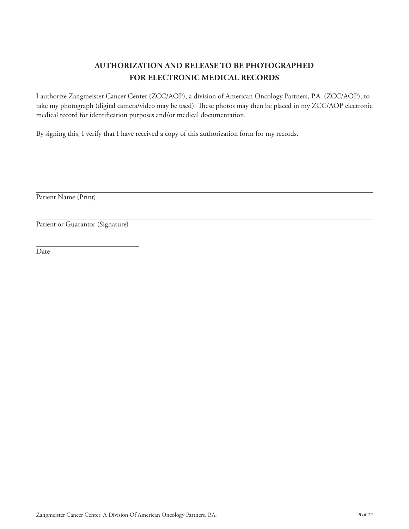## **AUTHORIZATION AND RELEASE TO BE PHOTOGRAPHED FOR ELECTRONIC MEDICAL RECORDS**

I authorize Zangmeister Cancer Center (ZCC/AOP), a division of American Oncology Partners, P.A. (ZCC/AOP), to take my photograph (digital camera/video may be used). These photos may then be placed in my ZCC/AOP electronic medical record for identification purposes and/or medical documentation.

By signing this, I verify that I have received a copy of this authorization form for my records.

Patient Name (Print)

Patient or Guarantor (Signature)

Date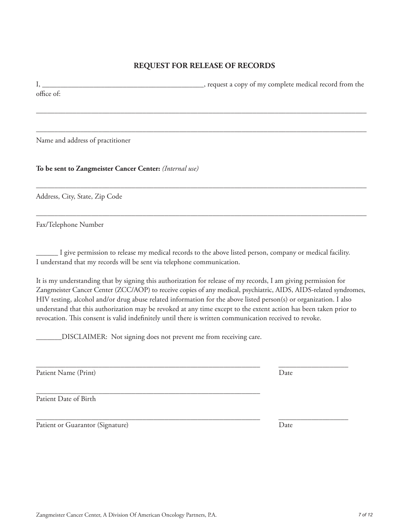## **REQUEST FOR RELEASE OF RECORDS**

I, \_\_\_\_\_\_\_\_\_\_\_\_\_\_\_\_\_\_\_\_\_\_\_\_\_\_\_\_\_\_\_\_\_\_\_\_\_\_\_\_\_\_\_\_, request a copy of my complete medical record from the office of:

––––––––––––––––––––––––––––––––––––––––––––––––––––––––––––––––––––––––––––––––––––––––––

––––––––––––––––––––––––––––––––––––––––––––––––––––––––––––––––––––––––––––––––––––––––––

––––––––––––––––––––––––––––––––––––––––––––––––––––––––––––––––––––––––––––––––––––––––––

––––––––––––––––––––––––––––––––––––––––––––––––––––––––––––––––––––––––––––––––––––––––––

Name and address of practitioner

**To be sent to Zangmeister Cancer Center:** *(Internal use)*

Address, City, State, Zip Code

Fax/Telephone Number

\_\_\_\_\_\_ I give permission to release my medical records to the above listed person, company or medical facility. I understand that my records will be sent via telephone communication.

It is my understanding that by signing this authorization for release of my records, I am giving permission for Zangmeister Cancer Center (ZCC/AOP) to receive copies of any medical, psychiatric, AIDS, AIDS-related syndromes, HIV testing, alcohol and/or drug abuse related information for the above listed person(s) or organization. I also understand that this authorization may be revoked at any time except to the extent action has been taken prior to revocation. This consent is valid indefinitely until there is written communication received to revoke.

\_\_\_\_\_\_\_\_\_\_\_\_\_\_\_\_\_\_\_\_\_\_\_\_\_\_\_\_\_\_\_\_\_\_\_\_\_\_\_\_\_\_\_\_\_\_\_\_\_\_\_\_\_\_\_\_\_\_\_\_\_ \_\_\_\_\_\_\_\_\_\_\_\_\_\_\_\_\_\_\_

\_\_\_\_\_\_\_DISCLAIMER: Not signing does not prevent me from receiving care.

Patient Name (Print) Date

\_\_\_\_\_\_\_\_\_\_\_\_\_\_\_\_\_\_\_\_\_\_\_\_\_\_\_\_\_\_\_\_\_\_\_\_\_\_\_\_\_\_\_\_\_\_\_\_\_\_\_\_\_\_\_\_\_\_\_\_\_ Patient Date of Birth

Patient or Guarantor (Signature) Date

\_\_\_\_\_\_\_\_\_\_\_\_\_\_\_\_\_\_\_\_\_\_\_\_\_\_\_\_\_\_\_\_\_\_\_\_\_\_\_\_\_\_\_\_\_\_\_\_\_\_\_\_\_\_\_\_\_\_\_\_\_ \_\_\_\_\_\_\_\_\_\_\_\_\_\_\_\_\_\_\_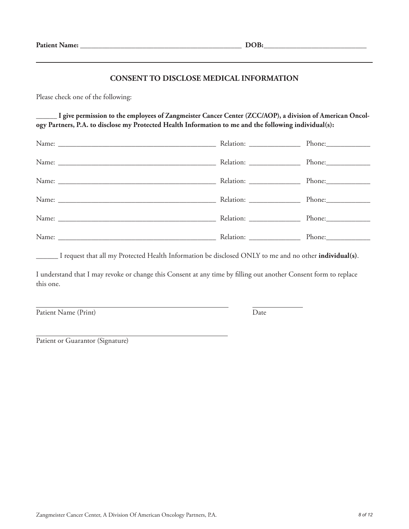#### **CONSENT TO DISCLOSE MEDICAL INFORMATION**

Please check one of the following:

**\_\_\_\_\_\_ I give permission to the employees of Zangmeister Cancer Center (ZCC/AOP), a division of American Oncology Partners, P.A. to disclose my Protected Health Information to me and the following individual(s):**

| Relation: ________________ |  |
|----------------------------|--|
|                            |  |

\_\_\_\_\_\_ I request that all my Protected Health Information be disclosed ONLY to me and no other **individual(s)**.

I understand that I may revoke or change this Consent at any time by filling out another Consent form to replace this one.

Patient Name (Print) Date

Patient or Guarantor (Signature)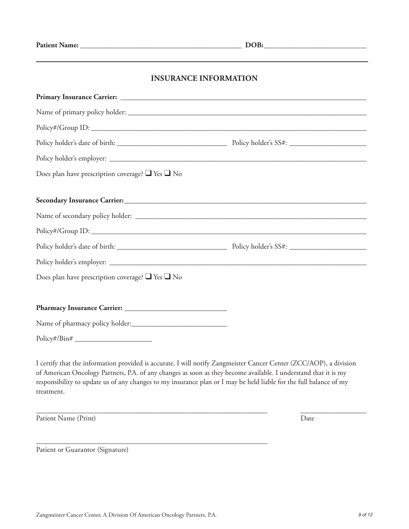## **INSURANCE INFORMATION**

| Does plan have prescription coverage? $\Box$ Yes $\Box$ No |  |
|------------------------------------------------------------|--|
|                                                            |  |
|                                                            |  |
|                                                            |  |
|                                                            |  |
|                                                            |  |
|                                                            |  |
| Does plan have prescription coverage? $\Box$ Yes $\Box$ No |  |
|                                                            |  |
|                                                            |  |
| Name of pharmacy policy holder:                            |  |
| $Policy\#/Bin\#$                                           |  |
|                                                            |  |

I certify that the information provided is accurate. I will notify Zangmeister Cancer Center (ZCC/AOP), a division of American Oncology Partners, P.A. of any changes as soon as they become available. I understand that it is my responsibility to update us of any changes to my insurance plan or I may be held liable for the full balance of my treatment.

\_\_\_\_\_\_\_\_\_\_\_\_\_\_\_\_\_\_\_\_\_\_\_\_\_\_\_\_\_\_\_\_\_\_\_\_\_\_\_\_\_\_\_\_\_\_\_\_\_\_\_\_\_\_\_\_\_\_\_\_\_\_\_ \_\_\_\_\_\_\_\_\_\_\_\_\_\_\_\_\_\_

Patient Name (Print) Date

Patient or Guarantor (Signature)

\_\_\_\_\_\_\_\_\_\_\_\_\_\_\_\_\_\_\_\_\_\_\_\_\_\_\_\_\_\_\_\_\_\_\_\_\_\_\_\_\_\_\_\_\_\_\_\_\_\_\_\_\_\_\_\_\_\_\_\_\_\_\_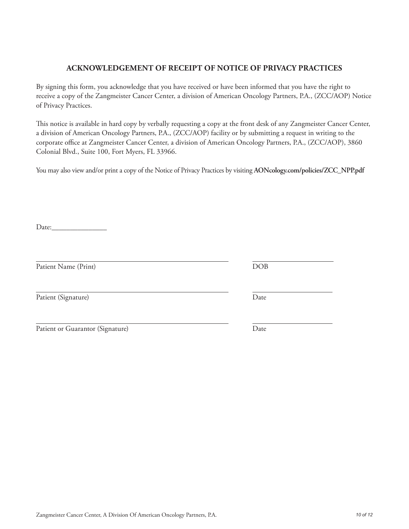## **ACKNOWLEDGEMENT OF RECEIPT OF NOTICE OF PRIVACY PRACTICES**

By signing this form, you acknowledge that you have received or have been informed that you have the right to receive a copy of the Zangmeister Cancer Center, a division of American Oncology Partners, P.A., (ZCC/AOP) Notice of Privacy Practices.

This notice is available in hard copy by verbally requesting a copy at the front desk of any Zangmeister Cancer Center, a division of American Oncology Partners, P.A., (ZCC/AOP) facility or by submitting a request in writing to the corporate office at Zangmeister Cancer Center, a division of American Oncology Partners, P.A., (ZCC/AOP), 3860 Colonial Blvd., Suite 100, Fort Myers, FL 33966.

You may also view and/or print a copy of the Notice of Privacy Practices by visiting **AONcology.com/policies/ZCC\_NPP.pdf**

Date:

Patient Name (Print) DOB

Patient (Signature) Date

| Patient or Guarantor (Signature) | Date |
|----------------------------------|------|
|----------------------------------|------|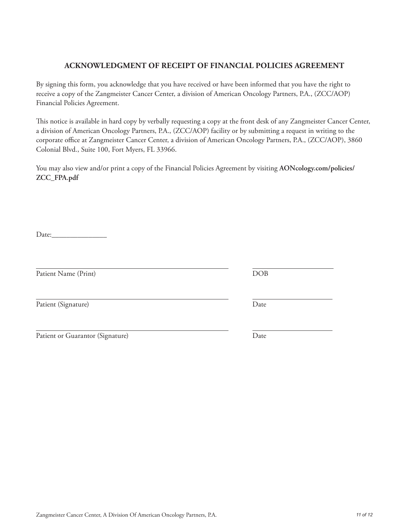# Zangmeister Cancer Center, A Division Of American Oncology Partners, P.A. *11 of 12*

## **ACKNOWLEDGMENT OF RECEIPT OF FINANCIAL POLICIES AGREEMENT**

By signing this form, you acknowledge that you have received or have been informed that you have the right to receive a copy of the Zangmeister Cancer Center, a division of American Oncology Partners, P.A., (ZCC/AOP) Financial Policies Agreement.

This notice is available in hard copy by verbally requesting a copy at the front desk of any Zangmeister Cancer Center, a division of American Oncology Partners, P.A., (ZCC/AOP) facility or by submitting a request in writing to the corporate office at Zangmeister Cancer Center, a division of American Oncology Partners, P.A., (ZCC/AOP), 3860 Colonial Blvd., Suite 100, Fort Myers, FL 33966.

You may also view and/or print a copy of the Financial Policies Agreement by visiting **AONcology.com/policies/ ZCC\_FPA.pdf**

Date:\_\_\_\_\_\_\_\_\_\_\_\_\_\_\_

Patient Name (Print) DOB

Patient (Signature) Date

Patient or Guarantor (Signature) Date